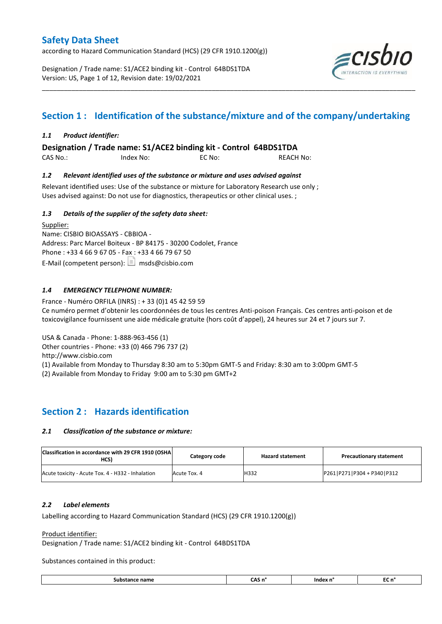according to Hazard Communication Standard (HCS) (29 CFR 1910.1200(g))

Designation / Trade name: S1/ACE2 binding kit - Control 64BDS1TDA Version: US, Page 1 of 12, Revision date: 19/02/2021



# **Section 1 : Identification of the substance/mixture and of the company/undertaking**

\_\_\_\_\_\_\_\_\_\_\_\_\_\_\_\_\_\_\_\_\_\_\_\_\_\_\_\_\_\_\_\_\_\_\_\_\_\_\_\_\_\_\_\_\_\_\_\_\_\_\_\_\_\_\_\_\_\_\_\_\_\_\_\_\_\_\_\_\_\_\_\_\_\_\_\_\_\_\_\_\_\_\_\_\_\_\_\_\_\_\_\_\_\_\_\_\_\_\_\_\_

### *1.1 Product identifier:*

**Designation / Trade name: S1/ACE2 binding kit - Control 64BDS1TDA** 

CAS No.: Index No: EC No: REACH No:

### *1.2 Relevant identified uses of the substance or mixture and uses advised against*

Relevant identified uses: Use of the substance or mixture for Laboratory Research use only ; Uses advised against: Do not use for diagnostics, therapeutics or other clinical uses. ;

### *1.3 Details of the supplier of the safety data sheet:*

Supplier: Name: CISBIO BIOASSAYS - CBBIOA - Address: Parc Marcel Boiteux - BP 84175 - 30200 Codolet, France Phone : +33 4 66 9 67 05 - Fax : +33 4 66 79 67 50 E-Mail (competent person):  $\boxed{\equiv}$  msds@cisbio.com

### *1.4 EMERGENCY TELEPHONE NUMBER:*

France - Numéro ORFILA (INRS) : + 33 (0)1 45 42 59 59 Ce numéro permet d'obtenir les coordonnées de tous les centres Anti-poison Français. Ces centres anti-poison et de toxicovigilance fournissent une aide médicale gratuite (hors coût d'appel), 24 heures sur 24 et 7 jours sur 7.

USA & Canada - Phone: 1-888-963-456 (1)

Other countries - Phone: +33 (0) 466 796 737 (2)

http://www.cisbio.com

(1) Available from Monday to Thursday 8:30 am to 5:30pm GMT-5 and Friday: 8:30 am to 3:00pm GMT-5

(2) Available from Monday to Friday 9:00 am to 5:30 pm GMT+2

# **Section 2 : Hazards identification**

### *2.1 Classification of the substance or mixture:*

| Classification in accordance with 29 CFR 1910 (OSHA<br>HCS) | Category code | <b>Hazard statement</b> | <b>Precautionary statement</b> |
|-------------------------------------------------------------|---------------|-------------------------|--------------------------------|
| Acute toxicity - Acute Tox. 4 - H332 - Inhalation           | Acute Tox. 4  | H332                    | P261 P271 P304 + P340 P312     |

### *2.2 Label elements*

Labelling according to Hazard Communication Standard (HCS) (29 CFR 1910.1200(g))

### Product identifier:

Designation / Trade name: S1/ACE2 binding kit - Control 64BDS1TDA

Substances contained in this product:

| Substance name<br>. | ^*<br>____ | <b>CONTRACTOR</b><br>Index | . .<br> |
|---------------------|------------|----------------------------|---------|
|---------------------|------------|----------------------------|---------|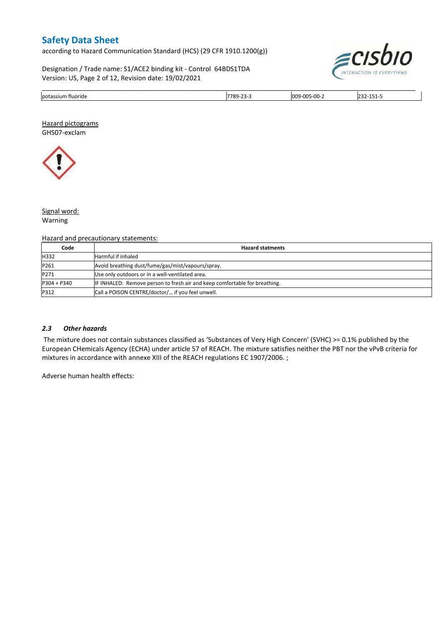according to Hazard Communication Standard (HCS) (29 CFR 1910.1200(g))

Designation / Trade name: S1/ACE2 binding kit - Control 64BDS1TDA Version: US, Page 2 of 12, Revision date: 19/02/2021



| lpotas.<br>fluoride<br>`siun | 700<br>--<br>$\overline{\phantom{a}}$<br>. | 15-00-<br>00s |  |
|------------------------------|--------------------------------------------|---------------|--|

Hazard pictograms GHS07-exclam



Signal word: Warning

#### Hazard and precautionary statements:

| Code          | <b>Hazard statments</b>                                                    |
|---------------|----------------------------------------------------------------------------|
| H332          | Harmful if inhaled                                                         |
| P261          | Avoid breathing dust/fume/gas/mist/vapours/spray.                          |
| P271          | Use only outdoors or in a well-ventilated area.                            |
| $P304 + P340$ | IF INHALED: Remove person to fresh air and keep comfortable for breathing. |
| P312          | Call a POISON CENTRE/doctor/ if you feel unwell.                           |

#### *2.3 Other hazards*

The mixture does not contain substances classified as 'Substances of Very High Concern' (SVHC) >= 0.1% published by the European CHemicals Agency (ECHA) under article 57 of REACH. The mixture satisfies neither the PBT nor the vPvB criteria for mixtures in accordance with annexe XIII of the REACH regulations EC 1907/2006. ;

Adverse human health effects: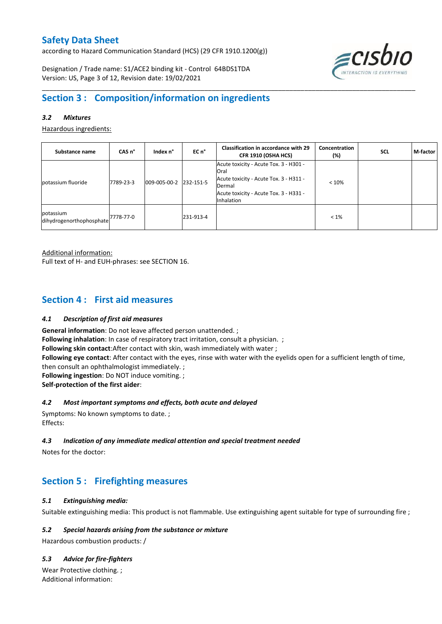according to Hazard Communication Standard (HCS) (29 CFR 1910.1200(g))

Designation / Trade name: S1/ACE2 binding kit - Control 64BDS1TDA Version: US, Page 3 of 12, Revision date: 19/02/2021



# **Section 3 : Composition/information on ingredients**

### *3.2 Mixtures*

Hazardous ingredients:

| Substance name                                             | CAS <sub>n</sub> ° | Index n°     | $ECn$ <sup>°</sup> | <b>Classification in accordance with 29</b><br>CFR 1910 (OSHA HCS)                                                                                                       | Concentration<br>(%) | <b>SCL</b> | M-factor |
|------------------------------------------------------------|--------------------|--------------|--------------------|--------------------------------------------------------------------------------------------------------------------------------------------------------------------------|----------------------|------------|----------|
| potassium fluoride                                         | 7789-23-3          | 009-005-00-2 | 232-151-5          | Acute toxicity - Acute Tox. 3 - H301 -<br><b>Oral</b><br>Acute toxicity - Acute Tox. 3 - H311 -<br>Dermal<br>Acute toxicity - Acute Tox. 3 - H331 -<br><b>Inhalation</b> | < 10%                |            |          |
| potassium<br>dihydrogenorthophosphate <sup>7778-77-0</sup> |                    |              | 231-913-4          |                                                                                                                                                                          | $< 1\%$              |            |          |

\_\_\_\_\_\_\_\_\_\_\_\_\_\_\_\_\_\_\_\_\_\_\_\_\_\_\_\_\_\_\_\_\_\_\_\_\_\_\_\_\_\_\_\_\_\_\_\_\_\_\_\_\_\_\_\_\_\_\_\_\_\_\_\_\_\_\_\_\_\_\_\_\_\_\_\_\_\_\_\_\_\_\_\_\_\_\_\_\_\_\_\_\_\_\_\_\_\_\_\_\_

Additional information:

Full text of H- and EUH-phrases: see SECTION 16.

# **Section 4 : First aid measures**

### *4.1 Description of first aid measures*

**General information**: Do not leave affected person unattended. ; **Following inhalation**: In case of respiratory tract irritation, consult a physician. ; **Following skin contact**:After contact with skin, wash immediately with water ; **Following eye contact**: After contact with the eyes, rinse with water with the eyelids open for a sufficient length of time, then consult an ophthalmologist immediately. ; **Following ingestion**: Do NOT induce vomiting. ; **Self-protection of the first aider**:

### *4.2 Most important symptoms and effects, both acute and delayed*

Symptoms: No known symptoms to date. ; Effects:

### *4.3 Indication of any immediate medical attention and special treatment needed*

Notes for the doctor:

# **Section 5 : Firefighting measures**

#### *5.1 Extinguishing media:*

Suitable extinguishing media: This product is not flammable. Use extinguishing agent suitable for type of surrounding fire ;

#### *5.2 Special hazards arising from the substance or mixture*

Hazardous combustion products: /

### *5.3 Advice for fire-fighters*

Wear Protective clothing. ; Additional information: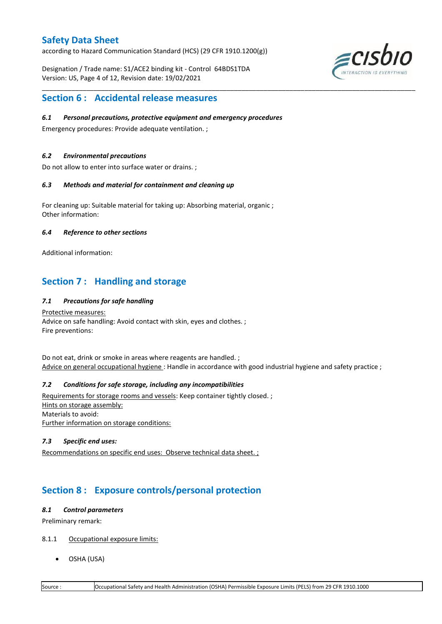according to Hazard Communication Standard (HCS) (29 CFR 1910.1200(g))

Designation / Trade name: S1/ACE2 binding kit - Control 64BDS1TDA Version: US, Page 4 of 12, Revision date: 19/02/2021



## **Section 6 : Accidental release measures**

#### *6.1 Personal precautions, protective equipment and emergency procedures*

Emergency procedures: Provide adequate ventilation. ;

### *6.2 Environmental precautions*

Do not allow to enter into surface water or drains. ;

#### *6.3 Methods and material for containment and cleaning up*

For cleaning up: Suitable material for taking up: Absorbing material, organic ; Other information:

### *6.4 Reference to other sections*

Additional information:

# **Section 7 : Handling and storage**

### *7.1 Precautions for safe handling*

Protective measures: Advice on safe handling: Avoid contact with skin, eyes and clothes. ; Fire preventions:

Do not eat, drink or smoke in areas where reagents are handled. ; Advice on general occupational hygiene: Handle in accordance with good industrial hygiene and safety practice ;

\_\_\_\_\_\_\_\_\_\_\_\_\_\_\_\_\_\_\_\_\_\_\_\_\_\_\_\_\_\_\_\_\_\_\_\_\_\_\_\_\_\_\_\_\_\_\_\_\_\_\_\_\_\_\_\_\_\_\_\_\_\_\_\_\_\_\_\_\_\_\_\_\_\_\_\_\_\_\_\_\_\_\_\_\_\_\_\_\_\_\_\_\_\_\_\_\_\_\_\_\_

### *7.2 Conditions for safe storage, including any incompatibilities*

Requirements for storage rooms and vessels: Keep container tightly closed. ; Hints on storage assembly: Materials to avoid: Further information on storage conditions:

### *7.3 Specific end uses:*

Recommendations on specific end uses: Observe technical data sheet. ;

# **Section 8 : Exposure controls/personal protection**

#### *8.1 Control parameters*

Preliminary remark:

- 8.1.1 Occupational exposure limits:
	- OSHA (USA)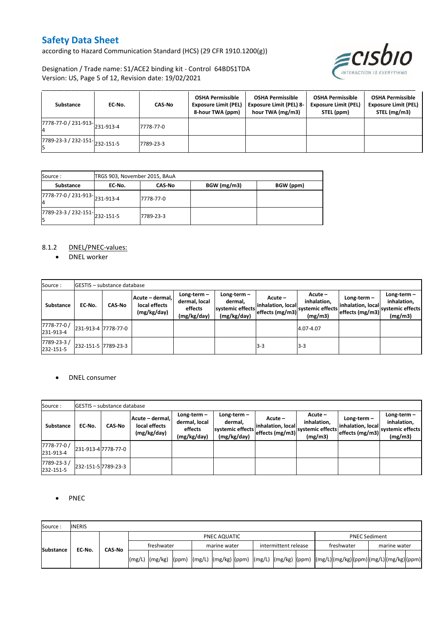according to Hazard Communication Standard (HCS) (29 CFR 1910.1200(g))



Designation / Trade name: S1/ACE2 binding kit - Control 64BDS1TDA Version: US, Page 5 of 12, Revision date: 19/02/2021

| Substance                                   | EC-No. | <b>CAS-No</b> | <b>OSHA Permissible</b><br><b>Exposure Limit (PEL)</b><br>8-hour TWA (ppm) | <b>OSHA Permissible</b><br><b>Exposure Limit (PEL) 8-</b><br>hour TWA (mg/m3) | <b>OSHA Permissible</b><br><b>Exposure Limit (PEL)</b><br>STEL (ppm) | <b>OSHA Permissible</b><br><b>Exposure Limit (PEL)</b><br>STEL (mg/m3) |
|---------------------------------------------|--------|---------------|----------------------------------------------------------------------------|-------------------------------------------------------------------------------|----------------------------------------------------------------------|------------------------------------------------------------------------|
| $\frac{1}{17778-77}$ -0 / 231-913-231-913-4 |        | 7778-77-0     |                                                                            |                                                                               |                                                                      |                                                                        |
| 7789-23-3 / 232-151-232-151-5               |        | 7789-23-3     |                                                                            |                                                                               |                                                                      |                                                                        |

| Source :                                             |        | TRGS 903, November 2015, BAuA |             |           |
|------------------------------------------------------|--------|-------------------------------|-------------|-----------|
| Substance                                            | EC No. | CAS No                        | BGW (mg/m3) | BGW (ppm) |
| 7778-77-0 / 231-913-231-913-4<br>4                   |        | 7778-77-0                     |             |           |
| $\overline{7789}$ -23-3 / 232-151- $\big $ 232-151-5 |        | 7789-23-3                     |             |           |

### 8.1.2 DNEL/PNEC-values:

• DNEL worker

| Source:                  |                     | <b>GESTIS</b> - substance database |                                                 |                                                          |                                                           |                                                 |                                                       |                                                       |                                                             |
|--------------------------|---------------------|------------------------------------|-------------------------------------------------|----------------------------------------------------------|-----------------------------------------------------------|-------------------------------------------------|-------------------------------------------------------|-------------------------------------------------------|-------------------------------------------------------------|
| Substance                | EC No.              | <b>CAS-No</b>                      | Acute - dermal,<br>local effects<br>(mg/kg/day) | $Long-term -$<br>dermal, local<br>effects<br>(mg/kg/day) | Long-term –<br>dermal,<br>systemic effects<br>(mg/kg/day) | Acute -<br>inhalation, local<br>effects (mg/m3) | Acute -<br>inhalation,<br>systemic effects<br>(mg/m3) | Long-term $-$<br>inhalation, local<br>effects (mg/m3) | $Long-term -$<br>inhalation,<br>systemic effects<br>(mg/m3) |
| 7778-77-0 /<br>231-913-4 | 231-913-4 7778-77-0 |                                    |                                                 |                                                          |                                                           |                                                 | 4.07-4.07                                             |                                                       |                                                             |
| 7789-23-3/<br>232-151-5  | 232-151-5 7789-23-3 |                                    |                                                 |                                                          |                                                           | $3-3$                                           | $3 - 3$                                               |                                                       |                                                             |

### DNEL consumer

| Source:                  |        | <b>GESTIS</b> - substance database |                                                 |                                                          |                                                             |                                                 |                                                      |                                                    |                                                             |
|--------------------------|--------|------------------------------------|-------------------------------------------------|----------------------------------------------------------|-------------------------------------------------------------|-------------------------------------------------|------------------------------------------------------|----------------------------------------------------|-------------------------------------------------------------|
| <b>Substance</b>         | EC No. | <b>CAS-No</b>                      | Acute - dermal,<br>local effects<br>(mg/kg/day) | $Long-term -$<br>dermal, local<br>effects<br>(mg/kg/day) | Long-term $-$<br>dermal,<br>systemic effects<br>(mg/kg/day) | Acute –<br>inhalation, local<br>effects (mg/m3) | Acute-<br>inhalation,<br>systemic effects<br>(mg/m3) | Long-term-<br>inhalation, local<br>effects (mg/m3) | Long-term $-$<br>inhalation,<br>systemic effects<br>(mg/m3) |
| 7778-77-0 /<br>231-913-4 |        | 231-913-4 7778-77-0                |                                                 |                                                          |                                                             |                                                 |                                                      |                                                    |                                                             |
| 7789-23-3/<br>232-151-5  |        | 232-151-5 7789-23-3                |                                                 |                                                          |                                                             |                                                 |                                                      |                                                    |                                                             |

### • PNEC

| Source:          | <b>INERIS</b> |               |                                                                                                                                                                                                                                                                                                                                                                                                                                                                                                               |  |              |  |  |                      |  |  |                            |  |                      |  |  |  |
|------------------|---------------|---------------|---------------------------------------------------------------------------------------------------------------------------------------------------------------------------------------------------------------------------------------------------------------------------------------------------------------------------------------------------------------------------------------------------------------------------------------------------------------------------------------------------------------|--|--------------|--|--|----------------------|--|--|----------------------------|--|----------------------|--|--|--|
| <b>Substance</b> |               |               | PNEC AQUATIC                                                                                                                                                                                                                                                                                                                                                                                                                                                                                                  |  |              |  |  |                      |  |  |                            |  | <b>PNEC Sediment</b> |  |  |  |
|                  | EC-No.        |               | freshwater                                                                                                                                                                                                                                                                                                                                                                                                                                                                                                    |  | marine water |  |  | intermittent release |  |  | freshwater<br>marine water |  |                      |  |  |  |
|                  |               | <b>CAS-No</b> | $\lceil \frac{mg}{L} \rceil \cdot \frac{mg}{kg} \rceil \cdot \frac{mg}{kg} \cdot \frac{mg}{kg} \cdot \frac{mg}{kg} \cdot \frac{mg}{kg} \cdot \frac{mg}{kg} \cdot \frac{mg}{kg} \cdot \frac{mg}{kg} \cdot \frac{mg}{kg}} \cdot \frac{mg}{kg} \cdot \frac{mg}{kg} \cdot \frac{mg}{kg} \cdot \frac{mg}{kg}} \cdot \frac{mg}{kg} \cdot \frac{mg}{kg} \cdot \frac{mg}{kg} \cdot \frac{mg}{kg} \cdot \frac{mg}{kg} \cdot \frac{mg}{kg}} \cdot \frac{mg}{kg} \cdot \frac{mg}{kg} \cdot \frac{mg}{kg} \cdot \frac{mg$ |  |              |  |  |                      |  |  |                            |  |                      |  |  |  |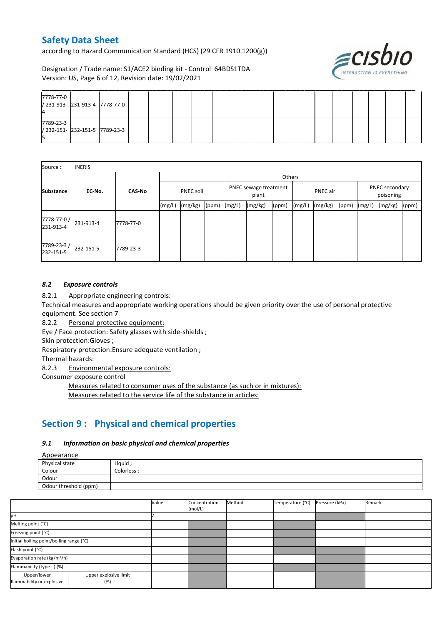according to Hazard Communication Standard (HCS) (29 CFR 1910.1200(g))



Designation / Trade name: S1/ACE2 binding kit - Control 64BDS1TDA Version: US, Page 6 of 12, Revision date: 19/02/2021

| 7778-77-0<br>/ 231-913- 231-913-4 7778-77-0       |  |  |  |  |  |  |  |  |  |
|---------------------------------------------------|--|--|--|--|--|--|--|--|--|
| 7789-23-3<br>/ 232-151- 232-151-5 7789-23-3<br>כו |  |  |  |  |  |  |  |  |  |

| Source:                  | <b>INERIS</b> |               |                  |         |       |                                |         |       |                 |         |       |                             |         |       |
|--------------------------|---------------|---------------|------------------|---------|-------|--------------------------------|---------|-------|-----------------|---------|-------|-----------------------------|---------|-------|
|                          |               |               | Others           |         |       |                                |         |       |                 |         |       |                             |         |       |
| <b>Substance</b>         | EC-No.        | <b>CAS-No</b> | <b>PNEC soil</b> |         |       | PNEC sewage treatment<br>plant |         |       | <b>PNEC</b> air |         |       | PNEC secondary<br>poisoning |         |       |
|                          |               |               | (mg/L)           | (mg/kg) | (ppm) | (mg/L)                         | (mg/kg) | (ppm) | (mg/L)          | (mg/kg) | (ppm) | (mg/L)                      | (mg/kg) | (ppm) |
| 7778-77-0 /<br>231-913-4 | 231-913-4     | 7778-77-0     |                  |         |       |                                |         |       |                 |         |       |                             |         |       |
| 7789-23-3/<br>232-151-5  | 232-151-5     | 7789-23-3     |                  |         |       |                                |         |       |                 |         |       |                             |         |       |

### *8.2 Exposure controls*

8.2.1 Appropriate engineering controls:

Technical measures and appropriate working operations should be given priority over the use of personal protective equipment. See section 7

8.2.2 Personal protective equipment:

Eye / Face protection: Safety glasses with side-shields ;

Skin protection:Gloves ;

Respiratory protection:Ensure adequate ventilation ;

Thermal hazards:

8.2.3 Environmental exposure controls:

Consumer exposure control

Measures related to consumer uses of the substance (as such or in mixtures): Measures related to the service life of the substance in articles:

# **Section 9 : Physical and chemical properties**

### *9.1 Information on basic physical and chemical properties*

Appearance

| n                     |             |
|-----------------------|-------------|
| Physical state        | Liquid      |
| Colour                | Colorless · |
| Odour                 |             |
| Odour threshold (ppm) |             |

|                                          |                              | Value | Concentration<br>(mol/L) | Method | Temperature (°C) | Pressure (kPa) | Remark |
|------------------------------------------|------------------------------|-------|--------------------------|--------|------------------|----------------|--------|
| pH                                       |                              |       |                          |        |                  |                |        |
| Melting point (°C)                       |                              |       |                          |        |                  |                |        |
| Freezing point (°C)                      |                              |       |                          |        |                  |                |        |
| Initial boiling point/boiling range (°C) |                              |       |                          |        |                  |                |        |
| Flash point (°C)                         |                              |       |                          |        |                  |                |        |
| Evaporation rate (kg/m <sup>2</sup> /h)  |                              |       |                          |        |                  |                |        |
| Flammability (type: ) (%)                |                              |       |                          |        |                  |                |        |
| Upper/lower<br>flammability or explosive | Upper explosive limit<br>(%) |       |                          |        |                  |                |        |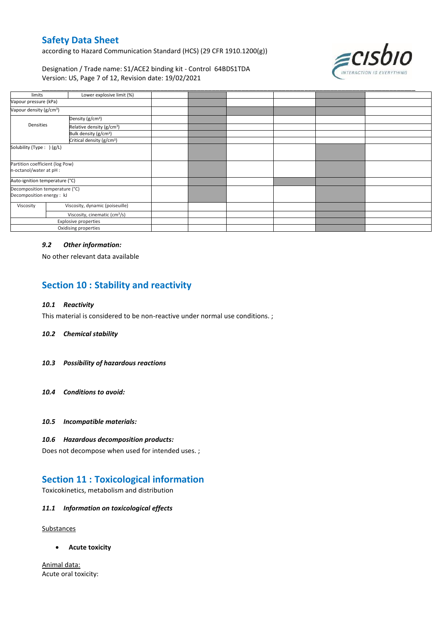according to Hazard Communication Standard (HCS) (29 CFR 1910.1200(g))



Designation / Trade name: S1/ACE2 binding kit - Control 64BDS1TDA Version: US, Page 7 of 12, Revision date: 19/02/2021

| limits                                                      | Lower explosive limit (%)                 |  |  |  |
|-------------------------------------------------------------|-------------------------------------------|--|--|--|
| Vapour pressure (kPa)                                       |                                           |  |  |  |
| Vapour density (g/cm <sup>3</sup> )                         |                                           |  |  |  |
|                                                             | Density (g/cm <sup>3</sup> )              |  |  |  |
| Densities                                                   | Relative density (g/cm <sup>3</sup> )     |  |  |  |
|                                                             | Bulk density (g/cm <sup>3</sup> )         |  |  |  |
|                                                             | Critical density (g/cm <sup>3</sup> )     |  |  |  |
| Solubility (Type: ) (g/L)                                   |                                           |  |  |  |
| Partition coefficient (log Pow)<br>n-octanol/water at pH :  |                                           |  |  |  |
| Auto-ignition temperature (°C)                              |                                           |  |  |  |
| Decomposition temperature (°C)<br>Decomposition energy : kJ |                                           |  |  |  |
| Viscosity                                                   | Viscosity, dynamic (poiseuille)           |  |  |  |
|                                                             | Viscosity, cinematic (cm <sup>3</sup> /s) |  |  |  |
|                                                             | <b>Explosive properties</b>               |  |  |  |
|                                                             | Oxidising properties                      |  |  |  |

### *9.2 Other information:*

No other relevant data available

# **Section 10 : Stability and reactivity**

#### *10.1 Reactivity*

This material is considered to be non-reactive under normal use conditions. ;

#### *10.2 Chemical stability*

- *10.3 Possibility of hazardous reactions*
- *10.4 Conditions to avoid:*
- *10.5 Incompatible materials:*

### *10.6 Hazardous decomposition products:*

Does not decompose when used for intended uses. ;

# **Section 11 : Toxicological information**

Toxicokinetics, metabolism and distribution

### *11.1 Information on toxicological effects*

#### **Substances**

**Acute toxicity**

Animal data: Acute oral toxicity: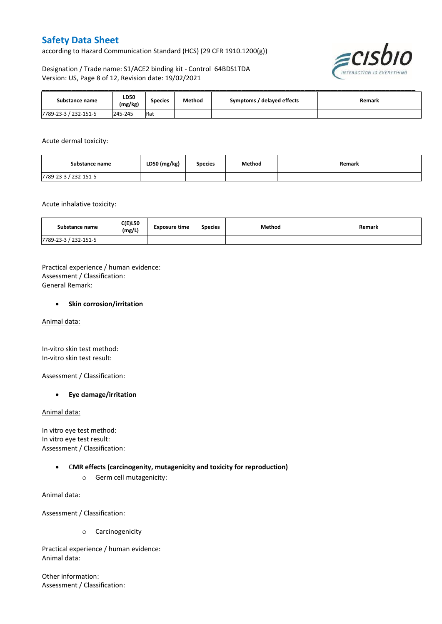according to Hazard Communication Standard (HCS) (29 CFR 1910.1200(g))



Designation / Trade name: S1/ACE2 binding kit - Control 64BDS1TDA Version: US, Page 8 of 12, Revision date: 19/02/2021

| Substance name        | LD50<br>(mg/kg) | <b>Species</b> | Method | / delayed effects<br>Symptoms / | Remark |
|-----------------------|-----------------|----------------|--------|---------------------------------|--------|
| 7789-23-3 / 232-151-5 | 245-245         | Rat            |        |                                 |        |

\_\_\_\_\_\_\_\_\_\_\_\_\_\_\_\_\_\_\_\_\_\_\_\_\_\_\_\_\_\_\_\_\_\_\_\_\_\_\_\_\_\_\_\_\_\_\_\_\_\_\_\_\_\_\_\_\_\_\_\_\_\_\_\_\_\_\_\_\_\_\_\_\_\_\_\_\_\_\_\_\_\_\_\_\_\_\_\_\_\_\_\_\_\_\_\_\_\_\_\_\_

### Acute dermal toxicity:

| Substance name        | LD50 (mg/kg) | Species | Method | Remark |
|-----------------------|--------------|---------|--------|--------|
| 7789-23-3 / 232-151-5 |              |         |        |        |

Acute inhalative toxicity:

| Substance name        | <b>C(E)L50</b><br>(mg/L) | <b>Exposure time</b> | <b>Species</b> | Method | Remark |
|-----------------------|--------------------------|----------------------|----------------|--------|--------|
| 7789-23-3 / 232-151-5 |                          |                      |                |        |        |

Practical experience / human evidence: Assessment / Classification: General Remark:

### **Skin corrosion/irritation**

Animal data:

In-vitro skin test method: In-vitro skin test result:

Assessment / Classification:

### **Eye damage/irritation**

Animal data:

In vitro eye test method: In vitro eye test result: Assessment / Classification:

### C**MR effects (carcinogenity, mutagenicity and toxicity for reproduction)**

o Germ cell mutagenicity:

Animal data:

Assessment / Classification:

o Carcinogenicity

Practical experience / human evidence: Animal data:

Other information: Assessment / Classification: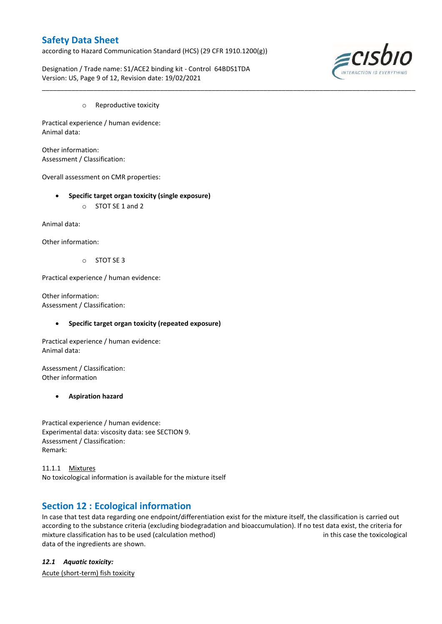according to Hazard Communication Standard (HCS) (29 CFR 1910.1200(g))

\_\_\_\_\_\_\_\_\_\_\_\_\_\_\_\_\_\_\_\_\_\_\_\_\_\_\_\_\_\_\_\_\_\_\_\_\_\_\_\_\_\_\_\_\_\_\_\_\_\_\_\_\_\_\_\_\_\_\_\_\_\_\_\_\_\_\_\_\_\_\_\_\_\_\_\_\_\_\_\_\_\_\_\_\_\_\_\_\_\_\_\_\_\_\_\_\_\_\_\_\_

Designation / Trade name: S1/ACE2 binding kit - Control 64BDS1TDA Version: US, Page 9 of 12, Revision date: 19/02/2021



o Reproductive toxicity

Practical experience / human evidence: Animal data:

Other information: Assessment / Classification:

Overall assessment on CMR properties:

- **Specific target organ toxicity (single exposure)**
	- o STOT SE 1 and 2

Animal data:

Other information:

o STOT SE 3

Practical experience / human evidence:

Other information: Assessment / Classification:

#### **Specific target organ toxicity (repeated exposure)**

Practical experience / human evidence: Animal data:

Assessment / Classification: Other information

#### **Aspiration hazard**

Practical experience / human evidence: Experimental data: viscosity data: see SECTION 9. Assessment / Classification: Remark:

11.1.1 Mixtures No toxicological information is available for the mixture itself

## **Section 12 : Ecological information**

In case that test data regarding one endpoint/differentiation exist for the mixture itself, the classification is carried out according to the substance criteria (excluding biodegradation and bioaccumulation). If no test data exist, the criteria for mixture classification has to be used (calculation method) in this case the toxicological data of the ingredients are shown.

*12.1 Aquatic toxicity:* 

Acute (short-term) fish toxicity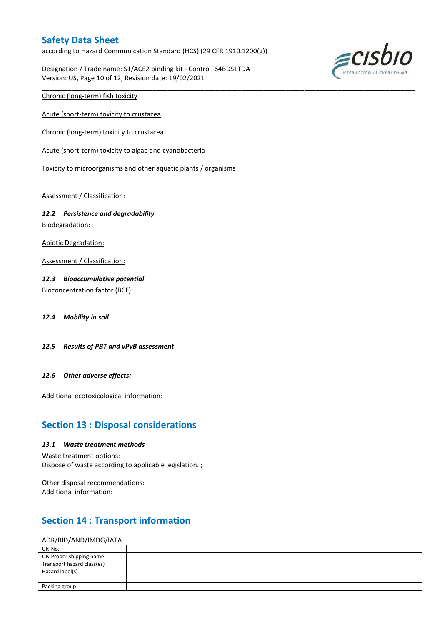according to Hazard Communication Standard (HCS) (29 CFR 1910.1200(g))

\_\_\_\_\_\_\_\_\_\_\_\_\_\_\_\_\_\_\_\_\_\_\_\_\_\_\_\_\_\_\_\_\_\_\_\_\_\_\_\_\_\_\_\_\_\_\_\_\_\_\_\_\_\_\_\_\_\_\_\_\_\_\_\_\_\_\_\_\_\_\_\_\_\_\_\_\_\_\_\_\_\_\_\_\_\_\_\_\_\_\_\_\_\_\_\_\_\_\_\_\_

Designation / Trade name: S1/ACE2 binding kit - Control 64BDS1TDA Version: US, Page 10 of 12, Revision date: 19/02/2021



Chronic (long-term) fish toxicity

Acute (short-term) toxicity to crustacea

Chronic (long-term) toxicity to crustacea

Acute (short-term) toxicity to algae and cyanobacteria

Toxicity to microorganisms and other aquatic plants / organisms

Assessment / Classification:

#### *12.2 Persistence and degradability*

Biodegradation:

Abiotic Degradation:

Assessment / Classification:

### *12.3 Bioaccumulative potential*

Bioconcentration factor (BCF):

*12.4 Mobility in soil*

*12.5 Results of PBT and vPvB assessment*

#### *12.6 Other adverse effects:*

Additional ecotoxicological information:

## **Section 13 : Disposal considerations**

#### *13.1 Waste treatment methods*

Waste treatment options:

Dispose of waste according to applicable legislation. ;

Other disposal recommendations: Additional information:

# **Section 14 : Transport information**

#### ADR/RID/AND/IMDG/IATA

| UN No.                     |  |
|----------------------------|--|
| UN Proper shipping name    |  |
| Transport hazard class(es) |  |
| Hazard label(s)            |  |
|                            |  |
| Packing group              |  |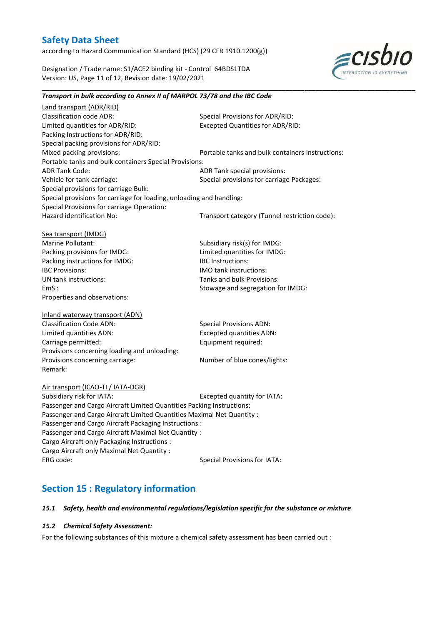according to Hazard Communication Standard (HCS) (29 CFR 1910.1200(g))

Designation / Trade name: S1/ACE2 binding kit - Control 64BDS1TDA Version: US, Page 11 of 12, Revision date: 19/02/2021



#### *Transport in bulk according to Annex II of MARPOL 73/78 and the IBC Code*

\_\_\_\_\_\_\_\_\_\_\_\_\_\_\_\_\_\_\_\_\_\_\_\_\_\_\_\_\_\_\_\_\_\_\_\_\_\_\_\_\_\_\_\_\_\_\_\_\_\_\_\_\_\_\_\_\_\_\_\_\_\_\_\_\_\_\_\_\_\_\_\_\_\_\_\_\_\_\_\_\_\_\_\_\_\_\_\_\_\_\_\_\_\_\_\_\_\_\_\_\_

Land transport (ADR/RID) Classification code ADR: Special Provisions for ADR/RID:<br>
Limited quantities for ADR/RID: Excepted Quantities for ADR/RI Excepted Quantities for ADR/RID: Packing Instructions for ADR/RID: Special packing provisions for ADR/RID: Mixed packing provisions: Portable tanks and bulk containers Instructions: Portable tanks and bulk containers Special Provisions: ADR Tank Code: ADR Tank special provisions: Vehicle for tank carriage:  $S$  Special provisions for carriage Packages: Special provisions for carriage Bulk: Special provisions for carriage for loading, unloading and handling: Special Provisions for carriage Operation: Hazard identification No: Transport category (Tunnel restriction code): Sea transport (IMDG) Marine Pollutant: Subsidiary risk(s) for IMDG: Packing provisions for IMDG: Limited quantities for IMDG: Packing instructions for IMDG: IBC Instructions: IBC Provisions: IMO tank instructions: UN tank instructions: Tanks and bulk Provisions: EmS : Stowage and segregation for IMDG: Properties and observations: Inland waterway transport (ADN) Classification Code ADN: Special Provisions ADN: Limited quantities ADN: Excepted quantities ADN: Carriage permitted: Carriage permitted: Provisions concerning loading and unloading: Provisions concerning carriage: Number of blue cones/lights: Remark: Air transport (ICAO-TI / IATA-DGR) Subsidiary risk for IATA: Excepted quantity for IATA: Passenger and Cargo Aircraft Limited Quantities Packing Instructions: Passenger and Cargo Aircraft Limited Quantities Maximal Net Quantity : Passenger and Cargo Aircraft Packaging Instructions : Passenger and Cargo Aircraft Maximal Net Quantity : Cargo Aircraft only Packaging Instructions : Cargo Aircraft only Maximal Net Quantity : ERG code: Special Provisions for IATA:

# **Section 15 : Regulatory information**

#### *15.1 Safety, health and environmental regulations/legislation specific for the substance or mixture*

#### *15.2 Chemical Safety Assessment:*

For the following substances of this mixture a chemical safety assessment has been carried out :